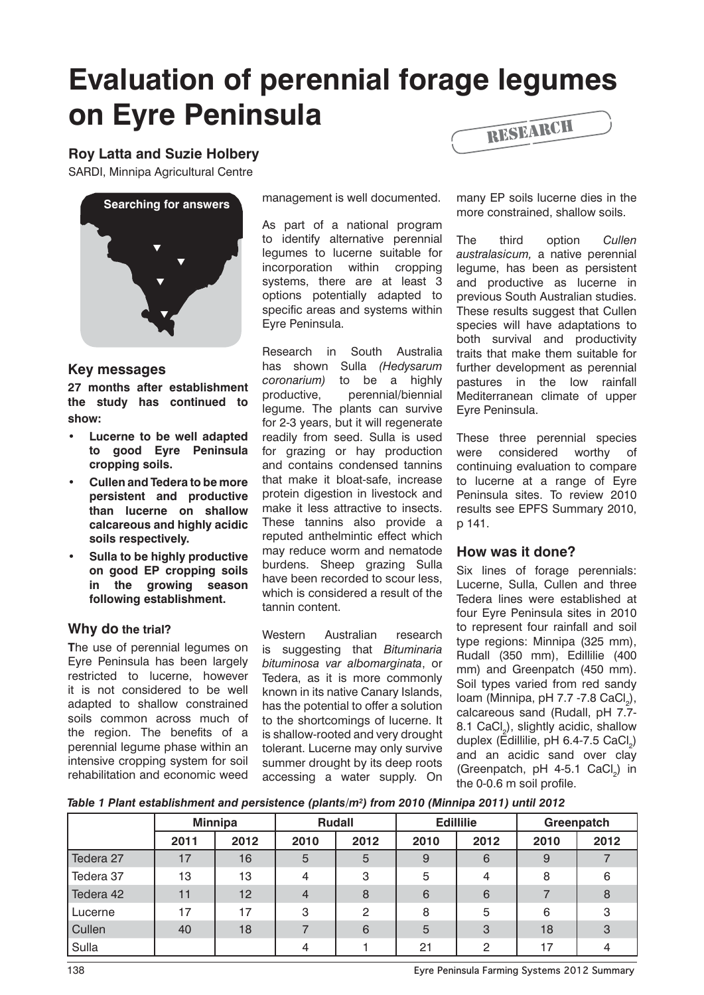# **Evaluation of perennial forage legumes on Eyre Peninsula** RESEARCH

## **Roy Latta and Suzie Holbery**

SARDI, Minnipa Agricultural Centre



#### **Key messages**

**27 months after establishment the study has continued to show:**

- **Lucerne to be well adapted to good Eyre Peninsula cropping soils.**
- **• Cullen and Tedera to be more persistent and productive than lucerne on shallow calcareous and highly acidic soils respectively.**
- **Sulla to be highly productive on good EP cropping soils in the growing season following establishment.**

### **Why do the trial?**

**T**he use of perennial legumes on Eyre Peninsula has been largely restricted to lucerne, however it is not considered to be well adapted to shallow constrained soils common across much of the region. The benefits of a perennial legume phase within an intensive cropping system for soil rehabilitation and economic weed management is well documented.

As part of a national program to identify alternative perennial legumes to lucerne suitable for incorporation within cropping systems, there are at least 3 options potentially adapted to specific areas and systems within Eyre Peninsula.

Research in South Australia has shown Sulla *(Hedysarum coronarium)* to be a highly productive, perennial/biennial legume. The plants can survive for 2-3 years, but it will regenerate readily from seed. Sulla is used for grazing or hay production and contains condensed tannins that make it bloat-safe, increase protein digestion in livestock and make it less attractive to insects. These tannins also provide a reputed anthelmintic effect which may reduce worm and nematode burdens. Sheep grazing Sulla have been recorded to scour less, which is considered a result of the tannin content.

Western Australian research is suggesting that *Bituminaria bituminosa var albomarginata*, or Tedera, as it is more commonly known in its native Canary Islands, has the potential to offer a solution to the shortcomings of lucerne. It is shallow-rooted and very drought tolerant. Lucerne may only survive summer drought by its deep roots accessing a water supply. On many EP soils lucerne dies in the more constrained, shallow soils.

The third option *Cullen australasicum,* a native perennial legume, has been as persistent and productive as lucerne in previous South Australian studies. These results suggest that Cullen species will have adaptations to both survival and productivity traits that make them suitable for further development as perennial pastures in the low rainfall Mediterranean climate of upper Eyre Peninsula.

These three perennial species were considered worthy of continuing evaluation to compare to lucerne at a range of Eyre Peninsula sites. To review 2010 results see EPFS Summary 2010, p 141.

### **How was it done?**

Six lines of forage perennials: Lucerne, Sulla, Cullen and three Tedera lines were established at four Eyre Peninsula sites in 2010 to represent four rainfall and soil type regions: Minnipa (325 mm), Rudall (350 mm), Edillilie (400 mm) and Greenpatch (450 mm). Soil types varied from red sandy loam (Minnipa, pH 7.7 -7.8 CaCl $_2$ ), calcareous sand (Rudall, pH 7.7- 8.1 CaCl<sub>2</sub>), slightly acidic, shallow duplex (Edillilie, pH 6.4-7.5 CaCl<sub>2</sub>) and an acidic sand over clay (Greenpatch, pH 4-5.1 CaCl<sub>2</sub>) in the 0-0.6 m soil profile.

*Table 1 Plant establishment and persistence (plants/m2 ) from 2010 (Minnipa 2011) until 2012*

|           | <b>Minnipa</b> |                 | <b>Rudall</b> |      | <b>Edillilie</b> |         | Greenpatch |      |
|-----------|----------------|-----------------|---------------|------|------------------|---------|------------|------|
|           | 2011           | 2012            | 2010          | 2012 | 2010             | 2012    | 2010       | 2012 |
| Tedera 27 | 17             | 16              | 5             | 5    | 9                | 6       | 9          |      |
| Tedera 37 | 13             | 13              | 4             | 3    | 5                | 4       | 8          | 6    |
| Tedera 42 | 11             | 12 <sub>2</sub> | 4             | 8    | 6                | 6       |            | 8    |
| Lucerne   | 17             | 17              | 3             | 2    | 8                | 5       | 6          | 3    |
| Cullen    | 40             | 18              |               | 6    | 5                | 3       | 18         | 3    |
| Sulla     |                |                 | 4             |      | 21               | $\circ$ | 17         | 4    |